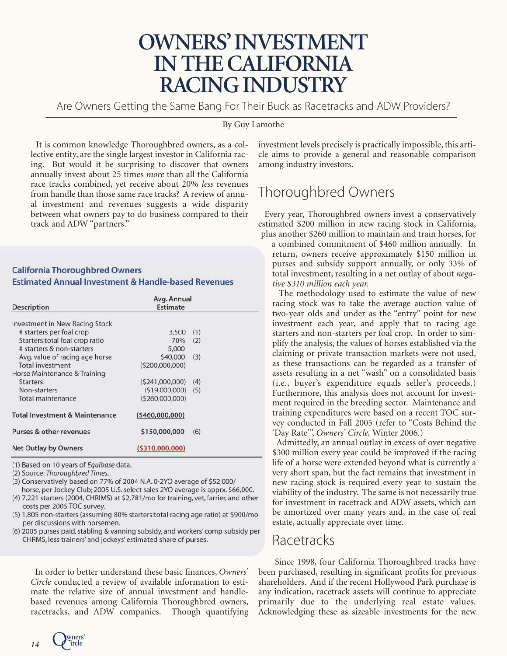## **OWNERS'INVESTMENT IN THE CALIFORNIA RACING INDUSTRY**

Are Owners Getting the Same Bang For Their Buck as Racetracks and ADW Providers?

#### By Guy Lamothe

It is common knowledge Thoroughbred owners, as a collective entity, are the single largest investor in California racing. But would it be surprising to discover that owners annually invest about 25 times *more* than all the California race tracks combined, yet receive about 20% *less* revenues from handle than those same race tracks? A review of annual investment and revenues suggests a wide disparity between what owners pay to do business compared to their track and ADW "partners."

#### **California Thoroughbred Owners Estimated Annual Investment & Handle-based Revenues**

| <b>Description</b>                        | Avg. Annual<br>Estimate |     |  |
|-------------------------------------------|-------------------------|-----|--|
| <b>Investment in New Racing Stock</b>     |                         |     |  |
| # starters per foal crop                  | 3,500                   | (1) |  |
| Starters: total foal crop ratio           | 70%                     | (2) |  |
| # starters & non-starters                 | 5,000                   |     |  |
| Avg. value of racing age horse            | \$40,000                | (3) |  |
| <b>Total investment</b>                   | (5200,000,000)          |     |  |
| Horse Maintenance & Training              |                         |     |  |
| <b>Starters</b>                           | (5241,000,000)          | (4) |  |
| Non-starters                              | (519,000,000)           | (5) |  |
| Total maintenance                         | (5260,000,000)          |     |  |
| <b>Total Investment &amp; Maintenance</b> | (5460,000,000)          |     |  |
| Purses & other revenues                   | \$150,000,000           | (6) |  |
| <b>Net Outlay by Owners</b>               | ( \$310,000,000)        |     |  |

(1) Based on 10 years of Equibase data.

(2) Source: Thoroughbred Times.

(3) Conservatively based on 77% of 2004 N.A. 0-2YO average of \$52,000/ horse, per Jockey Club; 2005 U.S. select sales 2YO average is apprx. \$66,000.

(4) 7,221 starters (2004, CHRIMS) at \$2,781/mo for training, vet, farrier, and other costs per 2005 TOC survey.

- (5) 1,805 non-starters (assuming 80% starters:total racing age ratio) at \$900/mo per discussions with horsemen.
- (6) 2005 purses paid, stabling & vanning subsidy, and workers' comp subsidy per CHRMS, less trainers' and jockeys' estimated share of purses.

In order to better understand these basic finances, *Owners' Circle* conducted a review of available information to estimate the relative size of annual investment and handlebased revenues among California Thoroughbred owners, racetracks, and ADW companies. Though quantifying

investment levels precisely is practically impossible, this article aims to provide a general and reasonable comparison among industry investors.

## Thoroughbred Owners

Every year, Thoroughbred owners invest a conservatively estimated \$200 million in new racing stock in California, plus another \$260 million to maintain and train horses, for

a combined commitment of \$460 million annually. In return, owners receive approximately \$150 million in purses and subsidy support annually, or only 33% of total investment, resulting in a net outlay of about *negative \$310 million each year.*

The methodology used to estimate the value of new racing stock was to take the average auction value of two-year olds and under as the "entry" point for new investment each year, and apply that to racing age starters and non-starters per foal crop. In order to simplify the analysis, the values of horses established via the claiming or private transaction markets were not used, as these transactions can be regarded as a transfer of assets resulting in a net "wash" on a consolidated basis (i.e., buyer's expenditure equals seller's proceeds.) Furthermore, this analysis does not account for investment required in the breeding sector. Maintenance and training expenditures were based on a recent TOC survey conducted in Fall 2005 (refer to "Costs Behind the 'Day Rate'", *Owners' Circle,* Winter 2006.)

Admittedly, an annual outlay in excess of over negative \$300 million every year could be improved if the racing life of a horse were extended beyond what is currently a very short span, but the fact remains that investment in new racing stock is required every year to sustain the viability of the industry. The same is not necessarily true for investment in racetrack and ADW assets, which can be amortized over many years and, in the case of real estate, actually appreciate over time.

## Racetracks

Since 1998, four California Thoroughbred tracks have been purchased, resulting in significant profits for previous shareholders. And if the recent Hollywood Park purchase is any indication, racetrack assets will continue to appreciate primarily due to the underlying real estate values. Acknowledging these as sizeable investments for the new

 $14$  **Q** wners'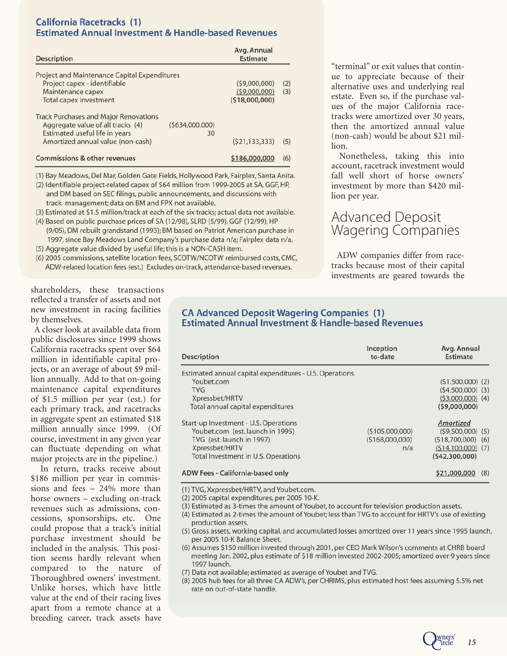### **California Racetracks (1) Estimated Annual Investment & Handle-based Revenues**

| Description                                                                                                                                              |                      | Avg. Annual<br>Estimate                       |            |
|----------------------------------------------------------------------------------------------------------------------------------------------------------|----------------------|-----------------------------------------------|------------|
| <b>Project and Maintenance Capital Expenditures</b><br>Project capex - identifiable<br>Maintenance capex<br>Total capex investment                       |                      | (59,000,000)<br>(59,000,000)<br>(518,000,000) | (2)<br>(3) |
| <b>Track Purchases and Major Renovations</b><br>Aggregate value of all tracks (4)<br>Estimated useful life in years<br>Amortized annual value (non-cash) | (5634,000,000)<br>30 | (521, 133, 333)                               | (5)        |
| Commissions & other revenues                                                                                                                             |                      | \$186,000,000                                 | (6)        |

(1) Bay Meadows, Del Mar, Golden Gate Fields, Hollywood Park, Fairplex, Santa Anita.

(2) Identifiable project-related capex of \$64 million from 1999-2005 at SA, GGF, HP, and DM based on SEC filings, public announcements, and discussions with track management; data on BM and FPX not available.

(3) Estimated at \$1.5 million/track at each of the six tracks; actual data not available.

(4) Based on public purchase prices of SA (12/98), SLRD (5/99), GGF (12/99), HP (9/05), DM rebuilt grandstand (1993); BM based on Patriot American purchase in 1997, since Bay Meadows Land Company's purchase data n/a; Fairplex data n/a.

(5) Aggregate value divided by useful life; this is a NON-CASH item.

(6) 2005 commissions, satellite location fees, SCOTW/NCOTW reimbursed costs, CMC, ADW-related location fees (est.) Excludes on-track, attendance-based revenues.

"terminal" or exit values that continue to appreciate because of their alternative uses and underlying real estate. Even so, if the purchase values of the major California racetracks were amortized over 30 years, then the amortized annual value (non-cash) would be about \$21 million.

Nonetheless, taking this into account, racetrack investment would fall well short of horse owners' investment by more than \$420 million per year.

### Advanced Deposit Wagering Companies

ADW companies differ from racetracks because most of their capital investments are geared towards the

> Quers' 15  $\mathcal{C}^\text{\tiny{in}}$

shareholders, these transactions reflected a transfer of assets and not new investment in racing facilities by themselves.

A closer look at available data from public disclosures since 1999 shows California racetracks spent over \$64 million in identifiable capital projects, or an average of about \$9 million annually. Add to that on-going maintenance capital expenditures of \$1.5 million per year (est.) for each primary track, and racetracks in ag g regate spent an estimated \$18 million annually since 1999. (Of course, investment in any given year can fluc tuate depending on what major projects are in the pipeline.)

In return, tracks receive about \$186 million p er year in commissions and fees – 24% more than horse owners – excluding on-track revenues such as admissions, concessions, sponsorships, etc. One could propose that a track's initial pur chase in vestment should be included in the analysis. This position seems hardly relevant when compared to the nature of Thoroughbred owners' investment. Unlike horses, which have little value at the end of their racing lives apart fr om a r emote chance at a breeding career, track assets have

### **CA Advanced Deposit Wagering Companies (1) Estimated Annual Investment & Handle-based Revenues**

| <b>Description</b>                                      | Inception<br>to-date | Avg. Annual<br><b>Estimate</b> |  |  |
|---------------------------------------------------------|----------------------|--------------------------------|--|--|
| Estimated annual capital expenditures - U.S. Operations |                      |                                |  |  |
| Youbet.com                                              |                      | $(51,500,000)$ (2)             |  |  |
| <b>TVG</b>                                              |                      | $(54,500,000)$ (3)             |  |  |
| Xpressbet/HRTV                                          |                      | $(53,000,000)$ (4)             |  |  |
| Total annual capital expenditures                       |                      | (59,000,000)                   |  |  |
| Start-up Investment - U.S. Operations                   |                      | Amortized                      |  |  |
| Youbet.com (est. launch in 1995)                        | (5105,000,000)       | $(59,500,000)$ $(5)$           |  |  |
| TVG (est. launch in 1997)                               | (5168,000,000)       | (518,700,000)<br>(6)           |  |  |
| Xpressbet/HRTV                                          | n/a                  | $(514, 100, 000)$ (7)          |  |  |
| Total Investment in U.S. Operations                     |                      | (542,300,000)                  |  |  |
| ADW Fees - California-based only                        |                      | \$21,000,000<br>(8)            |  |  |

#### ADW Fees - California-based only

(1) TVG, Xxpressbet/HRTV, and Youbet.com.

(2) 2005 capital expenditures, per 2005 10-K.

(3) Estimated as 3-times the amount of Youbet, to account for television production assets.

(4) Estimated as 2-times the amount of Youbet; less than TVG to account for HRTV's use of existing production assets.

- (5) Gross assets, working capital, and accumulated losses amortized over 11 years since 1995 launch, per 2005 10-K Balance Sheet.
- (6) Assumes \$150 million invested through 2001, per CEO Mark Wilson's comments at CHRB board meeting Jan. 2002, plus estimate of \$18 million invested 2002-2005; amortized over 9 years since 1997 launch.
- (7) Data not available; estimated as average of Youbet and TVG.
- (8) 2005 hub fees for all three CA ADW's, per CHRIMS, plus estimated host fees assuming 5.5% net rate on out-of-state handle.